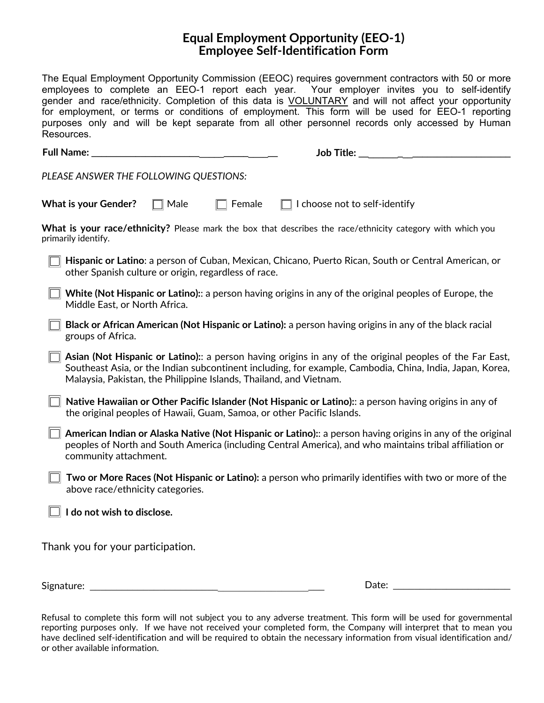### **Equal Employment Opportunity (EEO-1) Employee Self-Identification Form**

Refusal to complete this form will not subject you to any adverse treatment. This form will be used for governmental reporting purposes only. If we have not received your completed form, the Company will interpret that to mean you have declined self-identification and will be required to obtain the necessary information from visual identification and/ or other available information.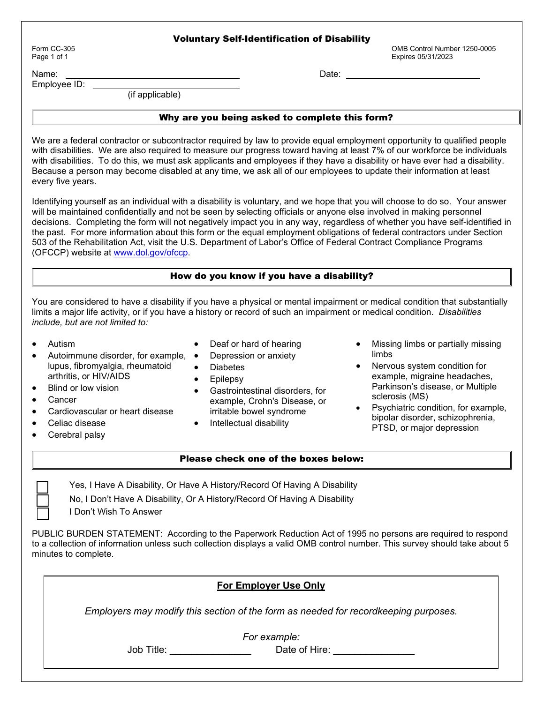#### Voluntary Self-Identification of Disability

Form CC-305 **CONTROLLER CONTROLLER CONTROLLER CONTROLLER CONTROLLER CONTROLLER CONTROLLER CONTROLLER CONTROLLER**<br>
Fage 1 of 1 Expires 05/31/2023

Name: Date:

Employee ID:

(if applicable)

#### Why are you being asked to complete this form?

We are a federal contractor or subcontractor required by law to provide equal employment opportunity to qualified people with disabilities. We are also required to measure our progress toward having at least 7% of our workforce be individuals with disabilities. To do this, we must ask applicants and employees if they have a disability or have ever had a disability. Because a person may become disabled at any time, we ask all of our employees to update their information at least every five years.

Identifying yourself as an individual with a disability is voluntary, and we hope that you will choose to do so. Your answer will be maintained confidentially and not be seen by selecting officials or anyone else involved in making personnel decisions. Completing the form will not negatively impact you in any way, regardless of whether you have self-identified in the past. For more information about this form or the equal employment obligations of federal contractors under Section 503 of the Rehabilitation Act, visit the U.S. Department of Labor's Office of Federal Contract Compliance Programs (OFCCP) website at [www.dol.gov/ofccp.](https://www.dol.gov/agencies/ofccp)

#### How do you know if you have a disability?

You are considered to have a disability if you have a physical or mental impairment or medical condition that substantially limits a major life activity, or if you have a history or record of such an impairment or medical condition. *Disabilities include, but are not limited to:*

- Autism
- Autoimmune disorder, for example, lupus, fibromyalgia, rheumatoid arthritis, or HIV/AIDS
- Blind or low vision
- Cancer
- Cardiovascular or heart disease
- Celiac disease
- Cerebral palsy
- Deaf or hard of hearing
- Depression or anxiety
- **Diabetes**
- Epilepsy
- Gastrointestinal disorders, for example, Crohn's Disease, or irritable bowel syndrome
- Intellectual disability
- Missing limbs or partially missing limbs
- Nervous system condition for example, migraine headaches, Parkinson's disease, or Multiple sclerosis (MS)
- Psychiatric condition, for example, bipolar disorder, schizophrenia, PTSD, or major depression

Yes, I Have A Disability, Or Have A History/Record Of Having A Disability

No, I Don't Have A Disability, Or A History/Record Of Having A Disability

☐ I Don't Wish To Answer

PUBLIC BURDEN STATEMENT: According to the Paperwork Reduction Act of 1995 no persons are required to respond to a collection of information unless such collection displays a valid OMB control number. This survey should take about 5 minutes to complete.

Please check one of the boxes below:

| Employers may modify this section of the form as needed for recordkeeping purposes. |
|-------------------------------------------------------------------------------------|
|                                                                                     |
|                                                                                     |
| Date of Hire:                                                                       |
|                                                                                     |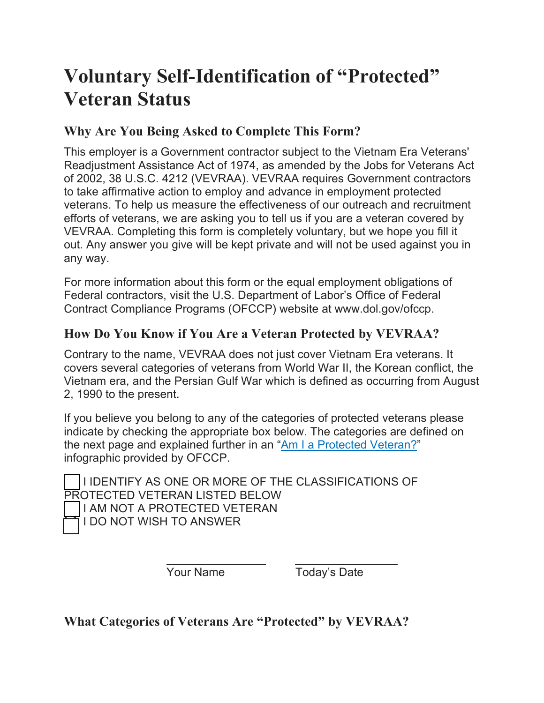# **Voluntary Self-Identification of "Protected" Veteran Status**

## **Why Are You Being Asked to Complete This Form?**

This employer is a Government contractor subject to the Vietnam Era Veterans' Readjustment Assistance Act of 1974, as amended by the Jobs for Veterans Act of 2002, 38 U.S.C. 4212 (VEVRAA). VEVRAA requires Government contractors to take affirmative action to employ and advance in employment protected veterans. To help us measure the effectiveness of our outreach and recruitment efforts of veterans, we are asking you to tell us if you are a veteran covered by VEVRAA. Completing this form is completely voluntary, but we hope you fill it out. Any answer you give will be kept private and will not be used against you in any way.

For more information about this form or the equal employment obligations of Federal contractors, visit the U.S. Department of Labor's Office of Federal Contract Compliance Programs (OFCCP) website at www.dol.gov/ofccp.

## **How Do You Know if You Are a Veteran Protected by VEVRAA?**

Contrary to the name, VEVRAA does not just cover Vietnam Era veterans. It covers several categories of veterans from World War II, the Korean conflict, the Vietnam era, and the Persian Gulf War which is defined as occurring from August 2, 1990 to the present.

If you believe you belong to any of the categories of protected veterans please indicate by checking the appropriate box below. The categories are defined on the next page and explained further in an ["Am I a Protected Veteran?"](https://www.dol.gov/agencies/ofccp/veterans/protected-veterans) infographic provided by OFCCP.

**I IDENTIFY AS ONE OR MORE OF THE CLASSIFICATIONS OF** PROTECTED VETERAN LISTED BELOW **I AM NOT A PROTECTED VETERAN I DO NOT WISH TO ANSWER** 

Your Name Today's Date

**What Categories of Veterans Are "Protected" by VEVRAA?**